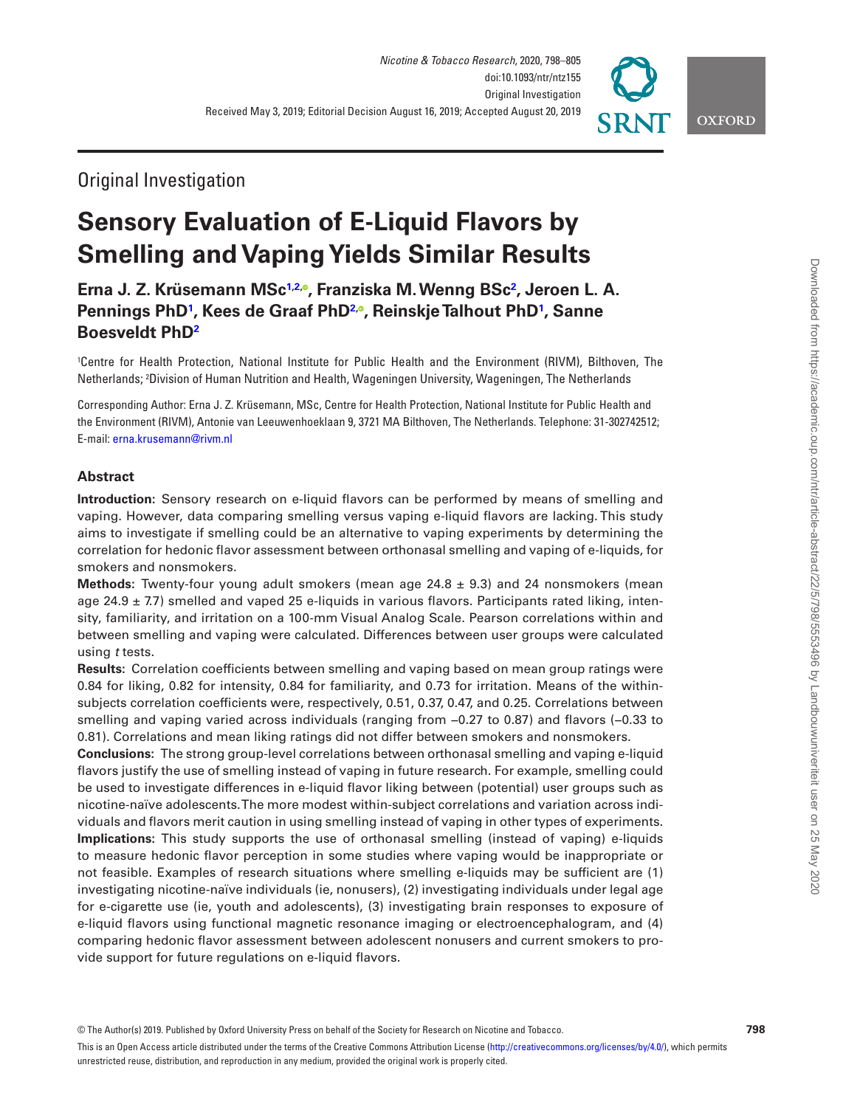

# **Sensory Evaluation of E-Liquid Flavors by Smelling and Vaping Yields Similar Results**

**Erna J. Z. Krüsemann MS[c1](#page-0-0)[,2,](#page-0-1) , Franziska M. Wenng BS[c2](#page-0-1) , Jeroen L. A. Pennings PhD[1](#page-0-0) , Kees de Graaf Ph[D2](#page-0-1), , Reinskje Talhout PhD[1](#page-0-0) , Sanne Boesveldt Ph[D2](#page-0-1)**

<span id="page-0-1"></span><span id="page-0-0"></span>1 Centre for Health Protection, National Institute for Public Health and the Environment (RIVM), Bilthoven, The Netherlands; 2 Division of Human Nutrition and Health, Wageningen University, Wageningen, The Netherlands

Corresponding Author: Erna J. Z. Krüsemann, MSc, Centre for Health Protection, National Institute for Public Health and the Environment (RIVM), Antonie van Leeuwenhoeklaan 9, 3721 MA Bilthoven, The Netherlands. Telephone: 31-302742512; E-mail: [erna.krusemann@rivm.nl](mailto:erna.krusemann@rivm.nl?subject=)

# **Abstract**

**Introduction:** Sensory research on e-liquid flavors can be performed by means of smelling and vaping. However, data comparing smelling versus vaping e-liquid flavors are lacking. This study aims to investigate if smelling could be an alternative to vaping experiments by determining the correlation for hedonic flavor assessment between orthonasal smelling and vaping of e-liquids, for smokers and nonsmokers.

**Methods:** Twenty-four young adult smokers (mean age 24.8 ± 9.3) and 24 nonsmokers (mean age 24.9  $\pm$  7.7) smelled and vaped 25 e-liquids in various flavors. Participants rated liking, intensity, familiarity, and irritation on a 100-mm Visual Analog Scale. Pearson correlations within and between smelling and vaping were calculated. Differences between user groups were calculated using *t* tests.

**Results:** Correlation coefficients between smelling and vaping based on mean group ratings were 0.84 for liking, 0.82 for intensity, 0.84 for familiarity, and 0.73 for irritation. Means of the withinsubjects correlation coefficients were, respectively, 0.51, 0.37, 0.47, and 0.25. Correlations between smelling and vaping varied across individuals (ranging from −0.27 to 0.87) and flavors (−0.33 to 0.81). Correlations and mean liking ratings did not differ between smokers and nonsmokers.

**Conclusions:** The strong group-level correlations between orthonasal smelling and vaping e-liquid flavors justify the use of smelling instead of vaping in future research. For example, smelling could be used to investigate differences in e-liquid flavor liking between (potential) user groups such as nicotine-naïve adolescents. The more modest within-subject correlations and variation across individuals and flavors merit caution in using smelling instead of vaping in other types of experiments. **Implications:** This study supports the use of orthonasal smelling (instead of vaping) e-liquids to measure hedonic flavor perception in some studies where vaping would be inappropriate or not feasible. Examples of research situations where smelling e-liquids may be sufficient are (1) investigating nicotine-naïve individuals (ie, nonusers), (2) investigating individuals under legal age for e-cigarette use (ie, youth and adolescents), (3) investigating brain responses to exposure of e-liquid flavors using functional magnetic resonance imaging or electroencephalogram, and (4) comparing hedonic flavor assessment between adolescent nonusers and current smokers to provide support for future regulations on e-liquid flavors.

**OXFORD**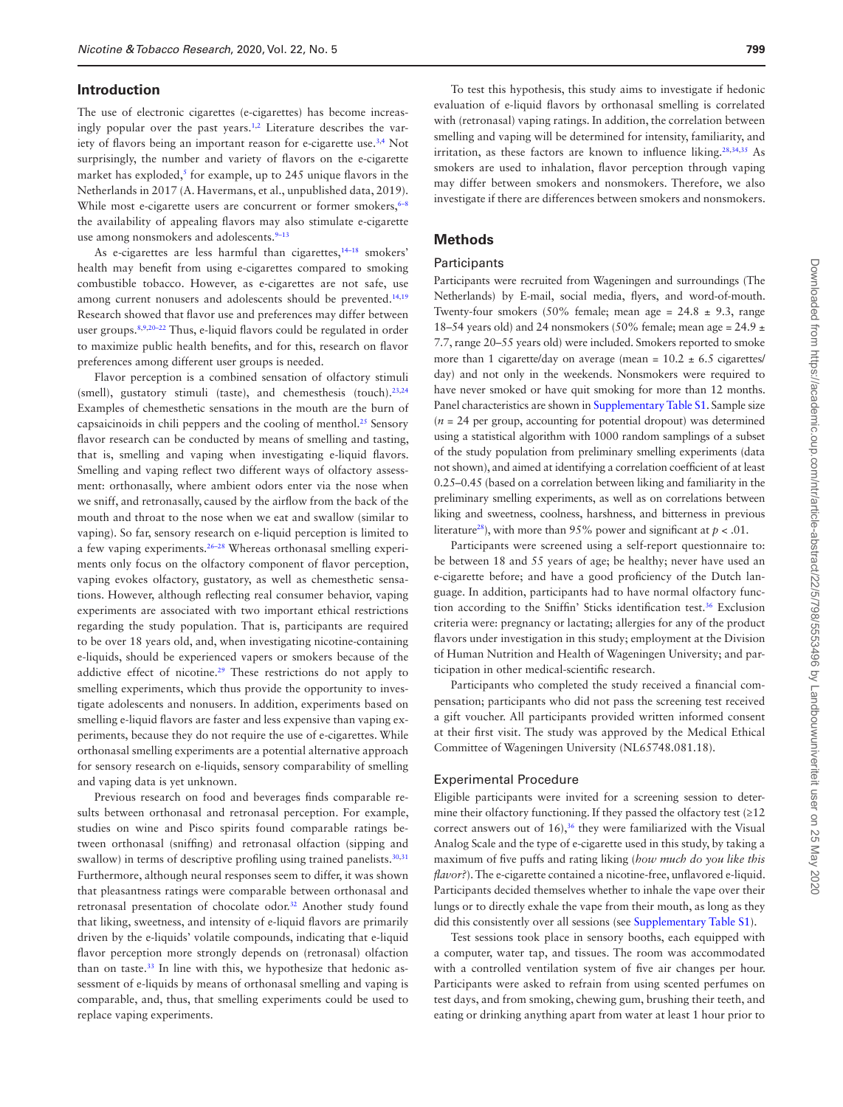#### **Introduction**

The use of electronic cigarettes (e-cigarettes) has become increas-ingly popular over the past years.<sup>[1](#page-6-0),[2](#page-6-1)</sup> Literature describes the var-iety of flavors being an important reason for e-cigarette use.<sup>[3](#page-6-2),[4](#page-6-3)</sup> Not surprisingly, the number and variety of flavors on the e-cigarette market has exploded,<sup>5</sup> for example, up to 245 unique flavors in the Netherlands in 2017 (A. Havermans, et al., unpublished data, 2019). While most e-cigarette users are concurrent or former smokers,<sup>6-8</sup> the availability of appealing flavors may also stimulate e-cigarette use among nonsmokers and adolescents.<sup>9-13</sup>

As e-cigarettes are less harmful than cigarettes,<sup>14-18</sup> smokers' health may benefit from using e-cigarettes compared to smoking combustible tobacco. However, as e-cigarettes are not safe, use among current nonusers and adolescents should be prevented.<sup>[14](#page-6-5)[,19](#page-6-6)</sup> Research showed that flavor use and preferences may differ between user groups.<sup>[8,](#page-6-7)[9](#page-6-8),20-22</sup> Thus, e-liquid flavors could be regulated in order to maximize public health benefits, and for this, research on flavor preferences among different user groups is needed.

Flavor perception is a combined sensation of olfactory stimuli (smell), gustatory stimuli (taste), and chemesthesis (touch).<sup>[23](#page-6-9)[,24](#page-6-10)</sup> Examples of chemesthetic sensations in the mouth are the burn of capsaicinoids in chili peppers and the cooling of menthol[.25](#page-6-11) Sensory flavor research can be conducted by means of smelling and tasting, that is, smelling and vaping when investigating e-liquid flavors. Smelling and vaping reflect two different ways of olfactory assessment: orthonasally, where ambient odors enter via the nose when we sniff, and retronasally, caused by the airflow from the back of the mouth and throat to the nose when we eat and swallow (similar to vaping). So far, sensory research on e-liquid perception is limited to a few vaping experiments.26–28 Whereas orthonasal smelling experiments only focus on the olfactory component of flavor perception, vaping evokes olfactory, gustatory, as well as chemesthetic sensations. However, although reflecting real consumer behavior, vaping experiments are associated with two important ethical restrictions regarding the study population. That is, participants are required to be over 18 years old, and, when investigating nicotine-containing e-liquids, should be experienced vapers or smokers because of the addictive effect of nicotine.[29](#page-6-12) These restrictions do not apply to smelling experiments, which thus provide the opportunity to investigate adolescents and nonusers. In addition, experiments based on smelling e-liquid flavors are faster and less expensive than vaping experiments, because they do not require the use of e-cigarettes. While orthonasal smelling experiments are a potential alternative approach for sensory research on e-liquids, sensory comparability of smelling and vaping data is yet unknown.

Previous research on food and beverages finds comparable results between orthonasal and retronasal perception. For example, studies on wine and Pisco spirits found comparable ratings between orthonasal (sniffing) and retronasal olfaction (sipping and swallow) in terms of descriptive profiling using trained panelists.<sup>[30](#page-6-13)[,31](#page-6-14)</sup> Furthermore, although neural responses seem to differ, it was shown that pleasantness ratings were comparable between orthonasal and retronasal presentation of chocolate odor.[32](#page-6-15) Another study found that liking, sweetness, and intensity of e-liquid flavors are primarily driven by the e-liquids' volatile compounds, indicating that e-liquid flavor perception more strongly depends on (retronasal) olfaction than on taste.<sup>33</sup> In line with this, we hypothesize that hedonic assessment of e-liquids by means of orthonasal smelling and vaping is comparable, and, thus, that smelling experiments could be used to replace vaping experiments.

To test this hypothesis, this study aims to investigate if hedonic evaluation of e-liquid flavors by orthonasal smelling is correlated with (retronasal) vaping ratings. In addition, the correlation between smelling and vaping will be determined for intensity, familiarity, and irritation, as these factors are known to influence liking.<sup>28,[34](#page-6-18),35</sup> As smokers are used to inhalation, flavor perception through vaping may differ between smokers and nonsmokers. Therefore, we also investigate if there are differences between smokers and nonsmokers.

# **Methods**

# Participants

Participants were recruited from Wageningen and surroundings (The Netherlands) by E-mail, social media, flyers, and word-of-mouth. Twenty-four smokers (50% female; mean age =  $24.8 \pm 9.3$ , range 18–54 years old) and 24 nonsmokers (50% female; mean age =  $24.9 \pm$ 7.7, range 20–55 years old) were included. Smokers reported to smoke more than 1 cigarette/day on average (mean =  $10.2 \pm 6.5$  cigarettes/ day) and not only in the weekends. Nonsmokers were required to have never smoked or have quit smoking for more than 12 months. Panel characteristics are shown in [Supplementary Table S1](http://academic.oup.com/ntr/article-lookup/doi/10.1093/ntr/ntz155#supplementary-data). Sample size  $(n = 24$  per group, accounting for potential dropout) was determined using a statistical algorithm with 1000 random samplings of a subset of the study population from preliminary smelling experiments (data not shown), and aimed at identifying a correlation coefficient of at least 0.25–0.45 (based on a correlation between liking and familiarity in the preliminary smelling experiments, as well as on correlations between liking and sweetness, coolness, harshness, and bitterness in previous literature<sup>28</sup>), with more than 95% power and significant at  $p < .01$ .

Participants were screened using a self-report questionnaire to: be between 18 and 55 years of age; be healthy; never have used an e-cigarette before; and have a good proficiency of the Dutch language. In addition, participants had to have normal olfactory function according to the Sniffin' Sticks identification test.<sup>36</sup> Exclusion criteria were: pregnancy or lactating; allergies for any of the product flavors under investigation in this study; employment at the Division of Human Nutrition and Health of Wageningen University; and participation in other medical-scientific research.

Participants who completed the study received a financial compensation; participants who did not pass the screening test received a gift voucher. All participants provided written informed consent at their first visit. The study was approved by the Medical Ethical Committee of Wageningen University (NL65748.081.18).

# Experimental Procedure

Eligible participants were invited for a screening session to determine their olfactory functioning. If they passed the olfactory test (≥12 correct answers out of  $16$ ),<sup>36</sup> they were familiarized with the Visual Analog Scale and the type of e-cigarette used in this study, by taking a maximum of five puffs and rating liking (*how much do you like this flavor?*). The e-cigarette contained a nicotine-free, unflavored e-liquid. Participants decided themselves whether to inhale the vape over their lungs or to directly exhale the vape from their mouth, as long as they did this consistently over all sessions (see [Supplementary Table S1](http://academic.oup.com/ntr/article-lookup/doi/10.1093/ntr/ntz155#supplementary-data)).

Test sessions took place in sensory booths, each equipped with a computer, water tap, and tissues. The room was accommodated with a controlled ventilation system of five air changes per hour. Participants were asked to refrain from using scented perfumes on test days, and from smoking, chewing gum, brushing their teeth, and eating or drinking anything apart from water at least 1 hour prior to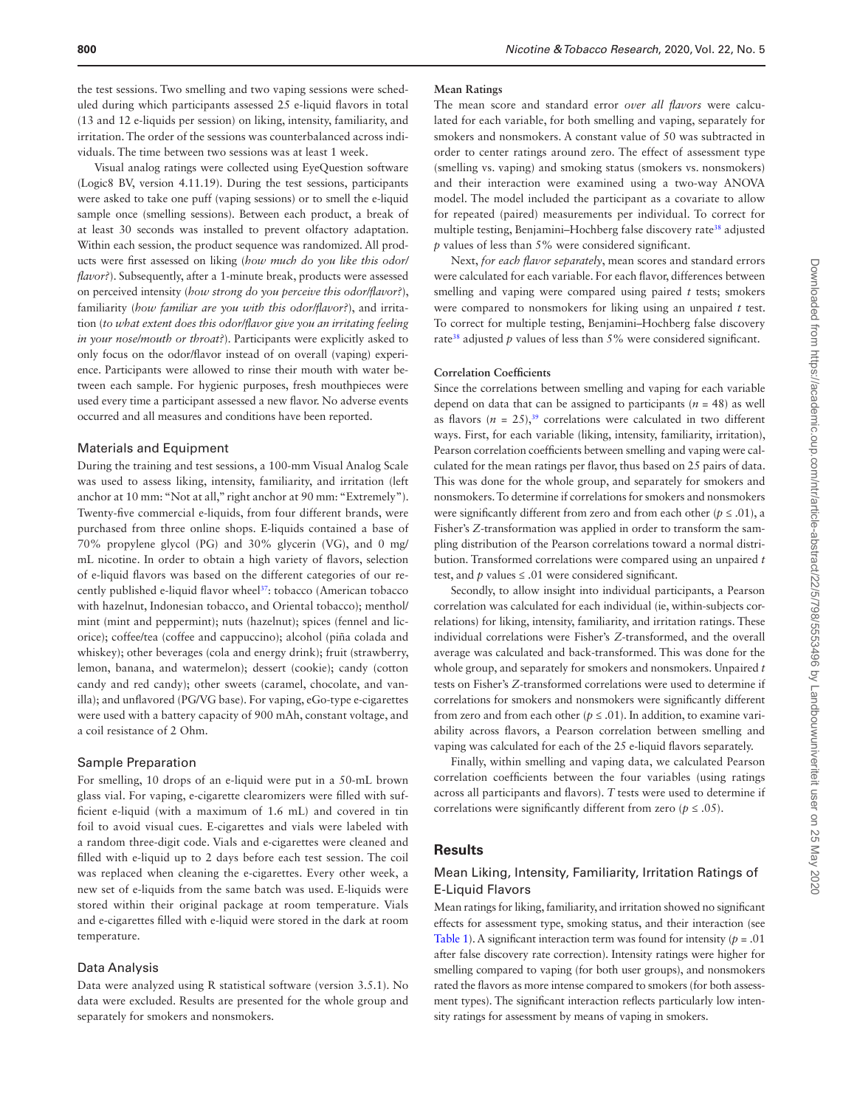the test sessions. Two smelling and two vaping sessions were scheduled during which participants assessed 25 e-liquid flavors in total (13 and 12 e-liquids per session) on liking, intensity, familiarity, and irritation. The order of the sessions was counterbalanced across individuals. The time between two sessions was at least 1 week.

Visual analog ratings were collected using EyeQuestion software (Logic8 BV, version 4.11.19). During the test sessions, participants were asked to take one puff (vaping sessions) or to smell the e-liquid sample once (smelling sessions). Between each product, a break of at least 30 seconds was installed to prevent olfactory adaptation. Within each session, the product sequence was randomized. All products were first assessed on liking (*how much do you like this odor/ flavor?*). Subsequently, after a 1-minute break, products were assessed on perceived intensity (*how strong do you perceive this odor/flavor?*), familiarity (*how familiar are you with this odor/flavor?*), and irritation (*to what extent does this odor/flavor give you an irritating feeling in your nose/mouth or throat?*). Participants were explicitly asked to only focus on the odor/flavor instead of on overall (vaping) experience. Participants were allowed to rinse their mouth with water between each sample. For hygienic purposes, fresh mouthpieces were used every time a participant assessed a new flavor. No adverse events occurred and all measures and conditions have been reported.

#### Materials and Equipment

During the training and test sessions, a 100-mm Visual Analog Scale was used to assess liking, intensity, familiarity, and irritation (left anchor at 10 mm: "Not at all," right anchor at 90 mm: "Extremely"). Twenty-five commercial e-liquids, from four different brands, were purchased from three online shops. E-liquids contained a base of 70% propylene glycol (PG) and 30% glycerin (VG), and 0 mg/ mL nicotine. In order to obtain a high variety of flavors, selection of e-liquid flavors was based on the different categories of our recently published e-liquid flavor wheel<sup>37</sup>: tobacco (American tobacco with hazelnut, Indonesian tobacco, and Oriental tobacco); menthol/ mint (mint and peppermint); nuts (hazelnut); spices (fennel and licorice); coffee/tea (coffee and cappuccino); alcohol (piña colada and whiskey); other beverages (cola and energy drink); fruit (strawberry, lemon, banana, and watermelon); dessert (cookie); candy (cotton candy and red candy); other sweets (caramel, chocolate, and vanilla); and unflavored (PG/VG base). For vaping, eGo-type e-cigarettes were used with a battery capacity of 900 mAh, constant voltage, and a coil resistance of 2 Ohm.

#### Sample Preparation

For smelling, 10 drops of an e-liquid were put in a 50-mL brown glass vial. For vaping, e-cigarette clearomizers were filled with sufficient e-liquid (with a maximum of 1.6 mL) and covered in tin foil to avoid visual cues. E-cigarettes and vials were labeled with a random three-digit code. Vials and e-cigarettes were cleaned and filled with e-liquid up to 2 days before each test session. The coil was replaced when cleaning the e-cigarettes. Every other week, a new set of e-liquids from the same batch was used. E-liquids were stored within their original package at room temperature. Vials and e-cigarettes filled with e-liquid were stored in the dark at room temperature.

# Data Analysis

Data were analyzed using R statistical software (version 3.5.1). No data were excluded. Results are presented for the whole group and separately for smokers and nonsmokers.

#### **Mean Ratings**

The mean score and standard error *over all flavors* were calculated for each variable, for both smelling and vaping, separately for smokers and nonsmokers. A constant value of 50 was subtracted in order to center ratings around zero. The effect of assessment type (smelling vs. vaping) and smoking status (smokers vs. nonsmokers) and their interaction were examined using a two-way ANOVA model. The model included the participant as a covariate to allow for repeated (paired) measurements per individual. To correct for multiple testing, Benjamini-Hochberg false discovery rate<sup>38</sup> adjusted *p* values of less than 5% were considered significant.

Next, *for each flavor separately*, mean scores and standard errors were calculated for each variable. For each flavor, differences between smelling and vaping were compared using paired *t* tests; smokers were compared to nonsmokers for liking using an unpaired *t* test. To correct for multiple testing, Benjamini–Hochberg false discovery rate<sup>38</sup> adjusted  $p$  values of less than 5% were considered significant.

## **Correlation Coefficients**

Since the correlations between smelling and vaping for each variable depend on data that can be assigned to participants  $(n = 48)$  as well as flavors  $(n = 25)$ ,<sup>39</sup> correlations were calculated in two different ways. First, for each variable (liking, intensity, familiarity, irritation), Pearson correlation coefficients between smelling and vaping were calculated for the mean ratings per flavor, thus based on 25 pairs of data. This was done for the whole group, and separately for smokers and nonsmokers. To determine if correlations for smokers and nonsmokers were significantly different from zero and from each other ( $p \le 0.01$ ), a Fisher's *Z*-transformation was applied in order to transform the sampling distribution of the Pearson correlations toward a normal distribution. Transformed correlations were compared using an unpaired *t* test, and  $p$  values  $\leq$  .01 were considered significant.

Secondly, to allow insight into individual participants, a Pearson correlation was calculated for each individual (ie, within-subjects correlations) for liking, intensity, familiarity, and irritation ratings. These individual correlations were Fisher's *Z*-transformed, and the overall average was calculated and back-transformed. This was done for the whole group, and separately for smokers and nonsmokers. Unpaired *t* tests on Fisher's *Z*-transformed correlations were used to determine if correlations for smokers and nonsmokers were significantly different from zero and from each other ( $p \leq .01$ ). In addition, to examine variability across flavors, a Pearson correlation between smelling and vaping was calculated for each of the 25 e-liquid flavors separately.

Finally, within smelling and vaping data, we calculated Pearson correlation coefficients between the four variables (using ratings across all participants and flavors). *T* tests were used to determine if correlations were significantly different from zero ( $p \le .05$ ).

# **Results**

# Mean Liking, Intensity, Familiarity, Irritation Ratings of E-Liquid Flavors

Mean ratings for liking, familiarity, and irritation showed no significant effects for assessment type, smoking status, and their interaction (see [Table 1](#page-3-0)). A significant interaction term was found for intensity (*p* = .01 after false discovery rate correction). Intensity ratings were higher for smelling compared to vaping (for both user groups), and nonsmokers rated the flavors as more intense compared to smokers (for both assessment types). The significant interaction reflects particularly low intensity ratings for assessment by means of vaping in smokers.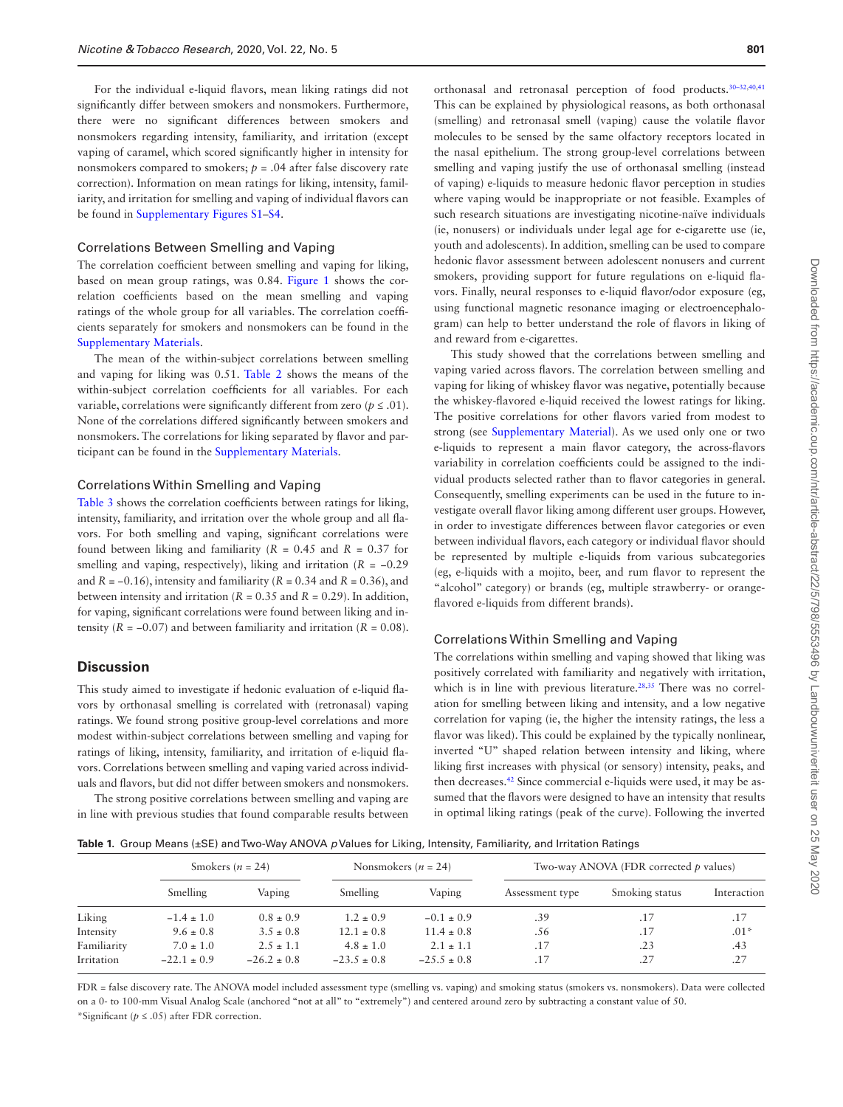For the individual e-liquid flavors, mean liking ratings did not significantly differ between smokers and nonsmokers. Furthermore, there were no significant differences between smokers and nonsmokers regarding intensity, familiarity, and irritation (except vaping of caramel, which scored significantly higher in intensity for nonsmokers compared to smokers;  $p = .04$  after false discovery rate correction). Information on mean ratings for liking, intensity, familiarity, and irritation for smelling and vaping of individual flavors can be found in [Supplementary Figures S1–S4](http://academic.oup.com/ntr/article-lookup/doi/10.1093/ntr/ntz155#supplementary-data).

#### Correlations Between Smelling and Vaping

The correlation coefficient between smelling and vaping for liking, based on mean group ratings, was 0.84. [Figure 1](#page-4-0) shows the correlation coefficients based on the mean smelling and vaping ratings of the whole group for all variables. The correlation coefficients separately for smokers and nonsmokers can be found in the [Supplementary Materials](http://academic.oup.com/ntr/article-lookup/doi/10.1093/ntr/ntz155#supplementary-data).

The mean of the within-subject correlations between smelling and vaping for liking was 0.51. [Table 2](#page-4-1) shows the means of the within-subject correlation coefficients for all variables. For each variable, correlations were significantly different from zero ( $p \leq .01$ ). None of the correlations differed significantly between smokers and nonsmokers. The correlations for liking separated by flavor and participant can be found in the [Supplementary Materials.](http://academic.oup.com/ntr/article-lookup/doi/10.1093/ntr/ntz155#supplementary-data)

#### Correlations Within Smelling and Vaping

[Table 3](#page-5-0) shows the correlation coefficients between ratings for liking, intensity, familiarity, and irritation over the whole group and all flavors. For both smelling and vaping, significant correlations were found between liking and familiarity ( $R = 0.45$  and  $R = 0.37$  for smelling and vaping, respectively), liking and irritation (*R* = −0.29 and *R* = −0.16), intensity and familiarity (*R* = 0.34 and *R* = 0.36), and between intensity and irritation ( $R = 0.35$  and  $R = 0.29$ ). In addition, for vaping, significant correlations were found between liking and intensity  $(R = -0.07)$  and between familiarity and irritation  $(R = 0.08)$ .

# **Discussion**

This study aimed to investigate if hedonic evaluation of e-liquid flavors by orthonasal smelling is correlated with (retronasal) vaping ratings. We found strong positive group-level correlations and more modest within-subject correlations between smelling and vaping for ratings of liking, intensity, familiarity, and irritation of e-liquid flavors. Correlations between smelling and vaping varied across individuals and flavors, but did not differ between smokers and nonsmokers.

The strong positive correlations between smelling and vaping are in line with previous studies that found comparable results between

orthonasal and retronasal perception of food products.30–32,[40](#page-6-24)[,41](#page-6-25) This can be explained by physiological reasons, as both orthonasal (smelling) and retronasal smell (vaping) cause the volatile flavor molecules to be sensed by the same olfactory receptors located in the nasal epithelium. The strong group-level correlations between smelling and vaping justify the use of orthonasal smelling (instead of vaping) e-liquids to measure hedonic flavor perception in studies where vaping would be inappropriate or not feasible. Examples of such research situations are investigating nicotine-naïve individuals (ie, nonusers) or individuals under legal age for e-cigarette use (ie, youth and adolescents). In addition, smelling can be used to compare hedonic flavor assessment between adolescent nonusers and current smokers, providing support for future regulations on e-liquid flavors. Finally, neural responses to e-liquid flavor/odor exposure (eg, using functional magnetic resonance imaging or electroencephalogram) can help to better understand the role of flavors in liking of and reward from e-cigarettes.

This study showed that the correlations between smelling and vaping varied across flavors. The correlation between smelling and vaping for liking of whiskey flavor was negative, potentially because the whiskey-flavored e-liquid received the lowest ratings for liking. The positive correlations for other flavors varied from modest to strong (see [Supplementary Material\)](http://academic.oup.com/ntr/article-lookup/doi/10.1093/ntr/ntz155#supplementary-data). As we used only one or two e-liquids to represent a main flavor category, the across-flavors variability in correlation coefficients could be assigned to the individual products selected rather than to flavor categories in general. Consequently, smelling experiments can be used in the future to investigate overall flavor liking among different user groups. However, in order to investigate differences between flavor categories or even between individual flavors, each category or individual flavor should be represented by multiple e-liquids from various subcategories (eg, e-liquids with a mojito, beer, and rum flavor to represent the "alcohol" category) or brands (eg, multiple strawberry- or orangeflavored e-liquids from different brands).

# Correlations Within Smelling and Vaping

The correlations within smelling and vaping showed that liking was positively correlated with familiarity and negatively with irritation, which is in line with previous literature.<sup>[28](#page-6-17),35</sup> There was no correlation for smelling between liking and intensity, and a low negative correlation for vaping (ie, the higher the intensity ratings, the less a flavor was liked). This could be explained by the typically nonlinear, inverted "U" shaped relation between intensity and liking, where liking first increases with physical (or sensory) intensity, peaks, and then decreases[.42](#page-6-26) Since commercial e-liquids were used, it may be assumed that the flavors were designed to have an intensity that results in optimal liking ratings (peak of the curve). Following the inverted

<span id="page-3-0"></span>**Table 1.** Group Means (±SE) and Two-Way ANOVA *p* Values for Liking, Intensity, Familiarity, and Irritation Ratings

|             | Smokers ( $n = 24$ ) |                 | Nonsmokers ( $n = 24$ ) |                 | Two-way ANOVA (FDR corrected p values) |                |             |  |
|-------------|----------------------|-----------------|-------------------------|-----------------|----------------------------------------|----------------|-------------|--|
|             | Smelling             | Vaping          | Smelling                | Vaping          | Assessment type                        | Smoking status | Interaction |  |
| Liking      | $-1.4 \pm 1.0$       | $0.8 \pm 0.9$   | $1.2 \pm 0.9$           | $-0.1 \pm 0.9$  | .39                                    | .17            | .17         |  |
| Intensity   | $9.6 \pm 0.8$        | $3.5 \pm 0.8$   | $12.1 \pm 0.8$          | $11.4 \pm 0.8$  | .56                                    | .17            | $.01*$      |  |
| Familiarity | $7.0 \pm 1.0$        | $2.5 \pm 1.1$   | $4.8 \pm 1.0$           | $2.1 \pm 1.1$   | .17                                    | .23            | .43         |  |
| Irritation  | $-22.1 \pm 0.9$      | $-26.2 \pm 0.8$ | $-23.5 \pm 0.8$         | $-25.5 \pm 0.8$ | .17                                    | .27            | .27         |  |

FDR = false discovery rate. The ANOVA model included assessment type (smelling vs. vaping) and smoking status (smokers vs. nonsmokers). Data were collected on a 0- to 100-mm Visual Analog Scale (anchored "not at all" to "extremely") and centered around zero by subtracting a constant value of 50. \*Significant (*p* ≤ .05) after FDR correction.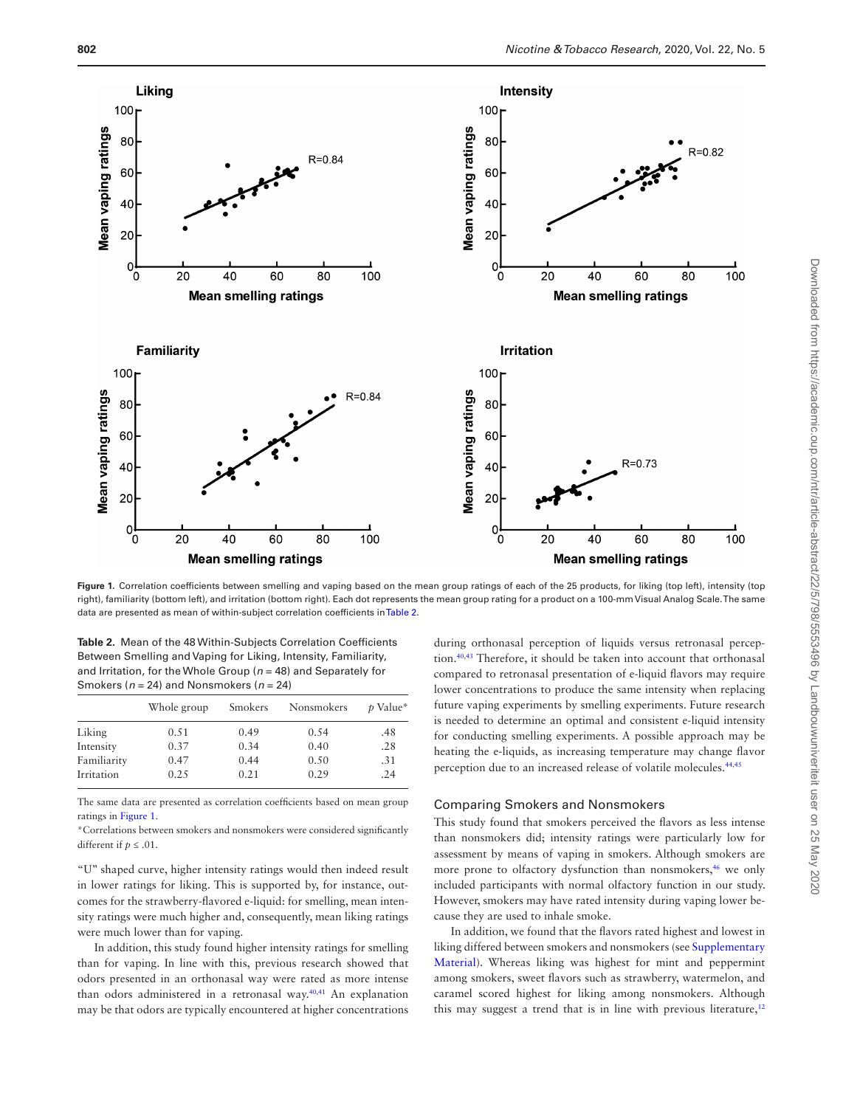

<span id="page-4-0"></span>Figure 1. Correlation coefficients between smelling and vaping based on the mean group ratings of each of the 25 products, for liking (top left), intensity (top right), familiarity (bottom left), and irritation (bottom right). Each dot represents the mean group rating for a product on a 100-mm Visual Analog Scale. The same data are presented as mean of within-subject correlation coefficients in [Table 2](#page-4-1).

<span id="page-4-1"></span>**Table 2.** Mean of the 48 Within-Subjects Correlation Coefficients Between Smelling and Vaping for Liking, Intensity, Familiarity, and Irritation, for the Whole Group (*n* = 48) and Separately for Smokers (*n* = 24) and Nonsmokers (*n* = 24)

|             | Whole group | Smokers | Nonsmokers | p Value* |
|-------------|-------------|---------|------------|----------|
| Liking      | 0.51        | 0.49    | 0.54       | .48      |
| Intensity   | 0.37        | 0.34    | 0.40       | .28      |
| Familiarity | 0.47        | 0.44    | 0.50       | .31      |
| Irritation  | 0.25        | 0.21    | 0.29       | .24      |

The same data are presented as correlation coefficients based on mean group ratings in [Figure 1.](#page-4-0)

\*Correlations between smokers and nonsmokers were considered significantly different if  $p \leq .01$ .

"U" shaped curve, higher intensity ratings would then indeed result in lower ratings for liking. This is supported by, for instance, outcomes for the strawberry-flavored e-liquid: for smelling, mean intensity ratings were much higher and, consequently, mean liking ratings were much lower than for vaping.

In addition, this study found higher intensity ratings for smelling than for vaping. In line with this, previous research showed that odors presented in an orthonasal way were rated as more intense than odors administered in a retronasal way[.40,](#page-6-24)[41](#page-6-25) An explanation may be that odors are typically encountered at higher concentrations

during orthonasal perception of liquids versus retronasal perception.[40,](#page-6-24)[43](#page-6-27) Therefore, it should be taken into account that orthonasal compared to retronasal presentation of e-liquid flavors may require lower concentrations to produce the same intensity when replacing future vaping experiments by smelling experiments. Future research is needed to determine an optimal and consistent e-liquid intensity for conducting smelling experiments. A possible approach may be heating the e-liquids, as increasing temperature may change flavor perception due to an increased release of volatile molecules[.44,](#page-7-0)[45](#page-7-1)

#### Comparing Smokers and Nonsmokers

This study found that smokers perceived the flavors as less intense than nonsmokers did; intensity ratings were particularly low for assessment by means of vaping in smokers. Although smokers are more prone to olfactory dysfunction than nonsmokers,<sup>46</sup> we only included participants with normal olfactory function in our study. However, smokers may have rated intensity during vaping lower because they are used to inhale smoke.

In addition, we found that the flavors rated highest and lowest in liking differed between smokers and nonsmokers (see [Supplementary](http://academic.oup.com/ntr/article-lookup/doi/10.1093/ntr/ntz155#supplementary-data)  [Material](http://academic.oup.com/ntr/article-lookup/doi/10.1093/ntr/ntz155#supplementary-data)). Whereas liking was highest for mint and peppermint among smokers, sweet flavors such as strawberry, watermelon, and caramel scored highest for liking among nonsmokers. Although this may suggest a trend that is in line with previous literature, $12$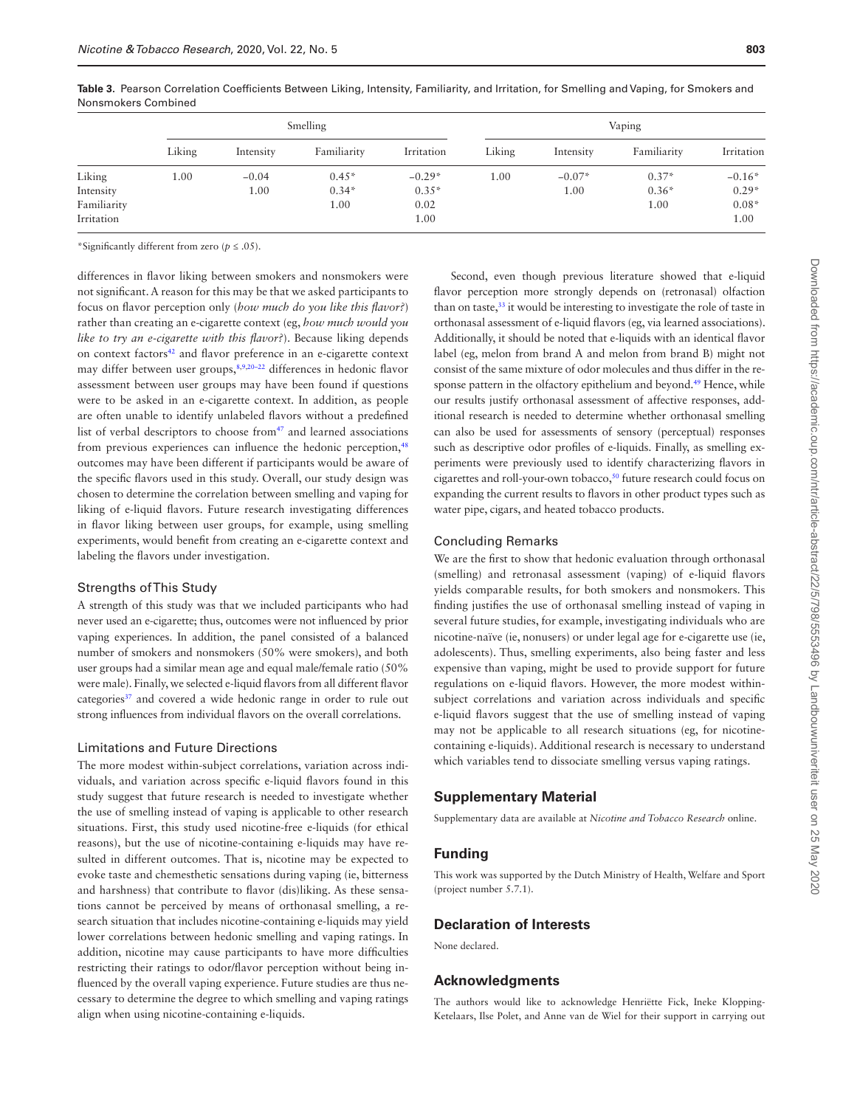|             | Smelling |           |             |            | Vaping |           |             |            |
|-------------|----------|-----------|-------------|------------|--------|-----------|-------------|------------|
|             | Liking   | Intensity | Familiarity | Irritation | Liking | Intensity | Familiarity | Irritation |
| Liking      | 1.00     | $-0.04$   | $0.45*$     | $-0.29*$   | 1.00   | $-0.07*$  | $0.37*$     | $-0.16*$   |
| Intensity   |          | 1.00      | $0.34*$     | $0.35*$    |        | 1.00      | $0.36*$     | $0.29*$    |
| Familiarity |          |           | 1.00        | 0.02       |        |           | 1.00        | $0.08*$    |
| Irritation  |          |           |             | 1.00       |        |           |             | 1.00       |

<span id="page-5-0"></span>**Table 3.** Pearson Correlation Coefficients Between Liking, Intensity, Familiarity, and Irritation, for Smelling and Vaping, for Smokers and Nonsmokers Combined

\*Significantly different from zero (*p* ≤ .05).

differences in flavor liking between smokers and nonsmokers were not significant. A reason for this may be that we asked participants to focus on flavor perception only (*how much do you like this flavor?*) rather than creating an e-cigarette context (eg, *how much would you like to try an e-cigarette with this flavor?*). Because liking depends on context factors<sup>42</sup> and flavor preference in an e-cigarette context may differ between user groups,<sup>[8,](#page-6-7)[9](#page-6-8),20-22</sup> differences in hedonic flavor assessment between user groups may have been found if questions were to be asked in an e-cigarette context. In addition, as people are often unable to identify unlabeled flavors without a predefined list of verbal descriptors to choose from<sup>47</sup> and learned associations from previous experiences can influence the hedonic perception,<sup>48</sup> outcomes may have been different if participants would be aware of the specific flavors used in this study. Overall, our study design was chosen to determine the correlation between smelling and vaping for liking of e-liquid flavors. Future research investigating differences in flavor liking between user groups, for example, using smelling experiments, would benefit from creating an e-cigarette context and labeling the flavors under investigation.

# Strengths of This Study

A strength of this study was that we included participants who had never used an e-cigarette; thus, outcomes were not influenced by prior vaping experiences. In addition, the panel consisted of a balanced number of smokers and nonsmokers (50% were smokers), and both user groups had a similar mean age and equal male/female ratio (50% were male). Finally, we selected e-liquid flavors from all different flavor categories<sup>37</sup> and covered a wide hedonic range in order to rule out strong influences from individual flavors on the overall correlations.

#### Limitations and Future Directions

The more modest within-subject correlations, variation across individuals, and variation across specific e-liquid flavors found in this study suggest that future research is needed to investigate whether the use of smelling instead of vaping is applicable to other research situations. First, this study used nicotine-free e-liquids (for ethical reasons), but the use of nicotine-containing e-liquids may have resulted in different outcomes. That is, nicotine may be expected to evoke taste and chemesthetic sensations during vaping (ie, bitterness and harshness) that contribute to flavor (dis)liking. As these sensations cannot be perceived by means of orthonasal smelling, a research situation that includes nicotine-containing e-liquids may yield lower correlations between hedonic smelling and vaping ratings. In addition, nicotine may cause participants to have more difficulties restricting their ratings to odor/flavor perception without being influenced by the overall vaping experience. Future studies are thus necessary to determine the degree to which smelling and vaping ratings align when using nicotine-containing e-liquids.

Second, even though previous literature showed that e-liquid flavor perception more strongly depends on (retronasal) olfaction than on taste,<sup>33</sup> it would be interesting to investigate the role of taste in orthonasal assessment of e-liquid flavors (eg, via learned associations). Additionally, it should be noted that e-liquids with an identical flavor label (eg, melon from brand A and melon from brand B) might not consist of the same mixture of odor molecules and thus differ in the response pattern in the olfactory epithelium and beyond.<sup>49</sup> Hence, while our results justify orthonasal assessment of affective responses, additional research is needed to determine whether orthonasal smelling can also be used for assessments of sensory (perceptual) responses such as descriptive odor profiles of e-liquids. Finally, as smelling experiments were previously used to identify characterizing flavors in cigarettes and roll-your-own tobacco,<sup>50</sup> future research could focus on expanding the current results to flavors in other product types such as water pipe, cigars, and heated tobacco products.

# Concluding Remarks

We are the first to show that hedonic evaluation through orthonasal (smelling) and retronasal assessment (vaping) of e-liquid flavors yields comparable results, for both smokers and nonsmokers. This finding justifies the use of orthonasal smelling instead of vaping in several future studies, for example, investigating individuals who are nicotine-naïve (ie, nonusers) or under legal age for e-cigarette use (ie, adolescents). Thus, smelling experiments, also being faster and less expensive than vaping, might be used to provide support for future regulations on e-liquid flavors. However, the more modest withinsubject correlations and variation across individuals and specific e-liquid flavors suggest that the use of smelling instead of vaping may not be applicable to all research situations (eg, for nicotinecontaining e-liquids). Additional research is necessary to understand which variables tend to dissociate smelling versus vaping ratings.

# **Supplementary Material**

Supplementary data are available at *Nicotine and Tobacco Research* online.

# **Funding**

This work was supported by the Dutch Ministry of Health, Welfare and Sport (project number 5.7.1).

# **Declaration of Interests**

None declared.

# **Acknowledgments**

The authors would like to acknowledge Henriëtte Fick, Ineke Klopping-Ketelaars, Ilse Polet, and Anne van de Wiel for their support in carrying out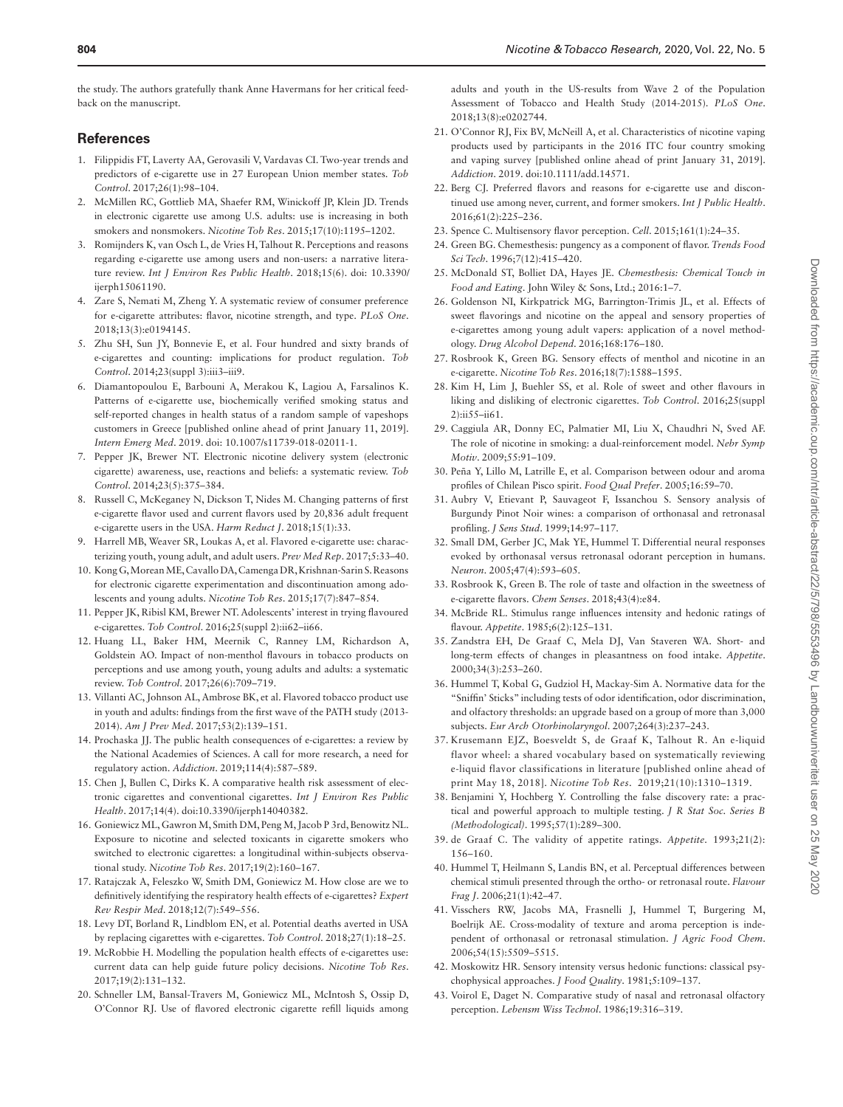the study. The authors gratefully thank Anne Havermans for her critical feedback on the manuscript.

# **References**

- <span id="page-6-0"></span>1. Filippidis FT, Laverty AA, Gerovasili V, Vardavas CI. Two-year trends and predictors of e-cigarette use in 27 European Union member states. *Tob Control*. 2017;26(1):98–104.
- <span id="page-6-1"></span>2. McMillen RC, Gottlieb MA, Shaefer RM, Winickoff JP, Klein JD. Trends in electronic cigarette use among U.S. adults: use is increasing in both smokers and nonsmokers. *Nicotine Tob Res*. 2015;17(10):1195–1202.
- <span id="page-6-2"></span>3. Romijnders K, van Osch L, de Vries H, Talhout R. Perceptions and reasons regarding e-cigarette use among users and non-users: a narrative literature review. *Int J Environ Res Public Health*. 2018;15(6). doi: 10.3390/ ijerph15061190.
- <span id="page-6-3"></span>4. Zare S, Nemati M, Zheng Y. A systematic review of consumer preference for e-cigarette attributes: flavor, nicotine strength, and type. *PLoS One*. 2018;13(3):e0194145.
- <span id="page-6-4"></span>5. Zhu SH, Sun IY, Bonnevie E, et al. Four hundred and sixty brands of e-cigarettes and counting: implications for product regulation. *Tob Control*. 2014;23(suppl 3):iii3–iii9.
- 6. Diamantopoulou E, Barbouni A, Merakou K, Lagiou A, Farsalinos K. Patterns of e-cigarette use, biochemically verified smoking status and self-reported changes in health status of a random sample of vapeshops customers in Greece [published online ahead of print January 11, 2019]. *Intern Emerg Med*. 2019. doi: 10.1007/s11739-018-02011-1.
- 7. Pepper JK, Brewer NT. Electronic nicotine delivery system (electronic cigarette) awareness, use, reactions and beliefs: a systematic review. *Tob Control*. 2014;23(5):375–384.
- <span id="page-6-7"></span>8. Russell C, McKeganey N, Dickson T, Nides M. Changing patterns of first e-cigarette flavor used and current flavors used by 20,836 adult frequent e-cigarette users in the USA. *Harm Reduct J*. 2018;15(1):33.
- <span id="page-6-8"></span>9. Harrell MB, Weaver SR, Loukas A, et al. Flavored e-cigarette use: characterizing youth, young adult, and adult users. *Prev Med Rep*. 2017;5:33–40.
- 10. Kong G, Morean ME, Cavallo DA, Camenga DR, Krishnan-Sarin S. Reasons for electronic cigarette experimentation and discontinuation among adolescents and young adults. *Nicotine Tob Res*. 2015;17(7):847–854.
- 11. Pepper JK, Ribisl KM, Brewer NT. Adolescents' interest in trying flavoured e-cigarettes. *Tob Control*. 2016;25(suppl 2):ii62–ii66.
- <span id="page-6-28"></span>12. Huang LL, Baker HM, Meernik C, Ranney LM, Richardson A, Goldstein AO. Impact of non-menthol flavours in tobacco products on perceptions and use among youth, young adults and adults: a systematic review. *Tob Control*. 2017;26(6):709–719.
- 13. Villanti AC, Johnson AL, Ambrose BK, et al. Flavored tobacco product use in youth and adults: findings from the first wave of the PATH study (2013- 2014). *Am J Prev Med*. 2017;53(2):139–151.
- <span id="page-6-5"></span>14. Prochaska JJ. The public health consequences of e-cigarettes: a review by the National Academies of Sciences. A call for more research, a need for regulatory action. *Addiction*. 2019;114(4):587–589.
- 15. Chen J, Bullen C, Dirks K. A comparative health risk assessment of electronic cigarettes and conventional cigarettes. *Int J Environ Res Public Health*. 2017;14(4). doi:10.3390/ijerph14040382.
- 16. Goniewicz ML, Gawron M, Smith DM, Peng M, Jacob P 3rd, Benowitz NL. Exposure to nicotine and selected toxicants in cigarette smokers who switched to electronic cigarettes: a longitudinal within-subjects observational study. *Nicotine Tob Res*. 2017;19(2):160–167.
- 17. Ratajczak A, Feleszko W, Smith DM, Goniewicz M. How close are we to definitively identifying the respiratory health effects of e-cigarettes? *Expert Rev Respir Med*. 2018;12(7):549–556.
- 18. Levy DT, Borland R, Lindblom EN, et al. Potential deaths averted in USA by replacing cigarettes with e-cigarettes. *Tob Control*. 2018;27(1):18–25.
- <span id="page-6-6"></span>19. McRobbie H. Modelling the population health effects of e-cigarettes use: current data can help guide future policy decisions. *Nicotine Tob Res*. 2017;19(2):131–132.
- 20. Schneller LM, Bansal-Travers M, Goniewicz ML, McIntosh S, Ossip D, O'Connor RJ. Use of flavored electronic cigarette refill liquids among

adults and youth in the US-results from Wave 2 of the Population Assessment of Tobacco and Health Study (2014-2015). *PLoS One*. 2018;13(8):e0202744.

- 21. O'Connor RJ, Fix BV, McNeill A, et al. Characteristics of nicotine vaping products used by participants in the 2016 ITC four country smoking and vaping survey [published online ahead of print January 31, 2019]. *Addiction*. 2019. doi:10.1111/add.14571.
- 22. Berg CJ. Preferred flavors and reasons for e-cigarette use and discontinued use among never, current, and former smokers. *Int J Public Health*. 2016;61(2):225–236.
- <span id="page-6-9"></span>23. Spence C. Multisensory flavor perception. *Cell*. 2015;161(1):24–35.
- <span id="page-6-10"></span>24. Green BG. Chemesthesis: pungency as a component of flavor. *Trends Food Sci Tech*. 1996;7(12):415–420.
- <span id="page-6-11"></span>25. McDonald ST, Bolliet DA, Hayes JE. *Chemesthesis: Chemical Touch in Food and Eating*. John Wiley & Sons, Ltd.; 2016:1–7.
- 26. Goldenson NI, Kirkpatrick MG, Barrington-Trimis JL, et al. Effects of sweet flavorings and nicotine on the appeal and sensory properties of e-cigarettes among young adult vapers: application of a novel methodology. *Drug Alcohol Depend*. 2016;168:176–180.
- 27. Rosbrook K, Green BG. Sensory effects of menthol and nicotine in an e-cigarette. *Nicotine Tob Res*. 2016;18(7):1588–1595.
- <span id="page-6-17"></span>28. Kim H, Lim J, Buehler SS, et al. Role of sweet and other flavours in liking and disliking of electronic cigarettes. *Tob Control*. 2016;25(suppl  $2$ :ii 55–ii61.
- <span id="page-6-12"></span>29. Caggiula AR, Donny EC, Palmatier MI, Liu X, Chaudhri N, Sved AF. The role of nicotine in smoking: a dual-reinforcement model. *Nebr Symp Motiv*. 2009;55:91–109.
- <span id="page-6-13"></span>30. Peña Y, Lillo M, Latrille E, et al. Comparison between odour and aroma profiles of Chilean Pisco spirit. *Food Qual Prefer*. 2005;16:59–70.
- <span id="page-6-14"></span>31. Aubry V, Etievant P, Sauvageot F, Issanchou S. Sensory analysis of Burgundy Pinot Noir wines: a comparison of orthonasal and retronasal profiling. *J Sens Stud*. 1999;14:97–117.
- <span id="page-6-15"></span>32. Small DM, Gerber JC, Mak YE, Hummel T. Differential neural responses evoked by orthonasal versus retronasal odorant perception in humans. *Neuron*. 2005;47(4):593–605.
- <span id="page-6-16"></span>33. Rosbrook K, Green B. The role of taste and olfaction in the sweetness of e-cigarette flavors. *Chem Senses*. 2018;43(4):e84.
- <span id="page-6-18"></span>34. McBride RL. Stimulus range influences intensity and hedonic ratings of flavour. *Appetite*. 1985;6(2):125–131.
- <span id="page-6-19"></span>35. Zandstra EH, De Graaf C, Mela DJ, Van Staveren WA. Short- and long-term effects of changes in pleasantness on food intake. *Appetite*. 2000;34(3):253–260.
- <span id="page-6-20"></span>36. Hummel T, Kobal G, Gudziol H, Mackay-Sim A. Normative data for the "Sniffin' Sticks" including tests of odor identification, odor discrimination, and olfactory thresholds: an upgrade based on a group of more than 3,000 subjects. *Eur Arch Otorhinolaryngol*. 2007;264(3):237–243.
- <span id="page-6-21"></span>37. Krusemann EJZ, Boesveldt S, de Graaf K, Talhout R. An e-liquid flavor wheel: a shared vocabulary based on systematically reviewing e-liquid flavor classifications in literature [published online ahead of print May 18, 2018]. *Nicotine Tob Res*. 2019;21(10):1310–1319.
- <span id="page-6-22"></span>38. Benjamini Y, Hochberg Y. Controlling the false discovery rate: a practical and powerful approach to multiple testing. *J R Stat Soc. Series B (Methodological)*. 1995;57(1):289–300.
- <span id="page-6-23"></span>39. de Graaf C. The validity of appetite ratings. *Appetite.* 1993;21(2): 156–160.
- <span id="page-6-24"></span>40. Hummel T, Heilmann S, Landis BN, et al. Perceptual differences between chemical stimuli presented through the ortho- or retronasal route. *Flavour Frag J*. 2006;21(1):42–47.
- <span id="page-6-25"></span>41. Visschers RW, Jacobs MA, Frasnelli J, Hummel T, Burgering M, Boelrijk AE. Cross-modality of texture and aroma perception is independent of orthonasal or retronasal stimulation. *J Agric Food Chem*. 2006;54(15):5509–5515.
- <span id="page-6-26"></span>42. Moskowitz HR. Sensory intensity versus hedonic functions: classical psychophysical approaches. *J Food Quality*. 1981;5:109–137.
- <span id="page-6-27"></span>43. Voirol E, Daget N. Comparative study of nasal and retronasal olfactory perception. *Lebensm Wiss Technol*. 1986;19:316–319.